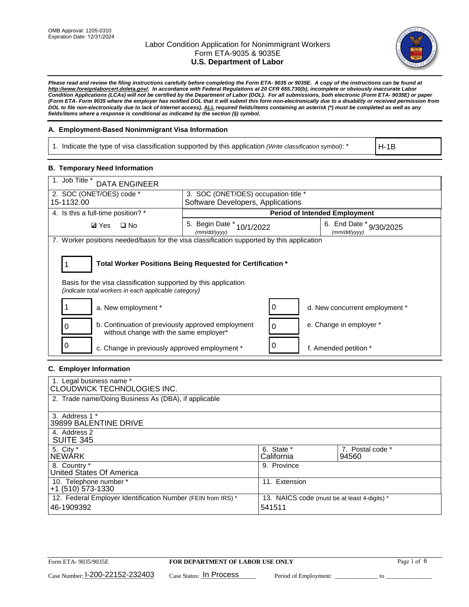

*Please read and review the filing instructions carefully before completing the Form ETA- 9035 or 9035E. A copy of the instructions can be found at [http://www.foreignlaborcert.doleta.gov/.](http://www.foreignlaborcert.doleta.gov/) In accordance with Federal Regulations at 20 CFR 655.730(b), incomplete or obviously inaccurate Labor Condition Applications (LCAs) will not be certified by the Department of Labor (DOL). For all submissions, both electronic (Form ETA- 9035E) or paper (Form ETA- Form 9035 where the employer has notified DOL that it will submit this form non-electronically due to a disability or received permission from DOL to file non-electronically due to lack of Internet access), ALL required fields/items containing an asterisk (\*) must be completed as well as any fields/items where a response is conditional as indicated by the section (§) symbol.* 

## **A. Employment-Based Nonimmigrant Visa Information**

1. Indicate the type of visa classification supported by this application *(Write classification symbol)*: \*

H-1B

## **B. Temporary Need Information**

| 1. Job Title * DATA ENGINEER                                                                                                                                                          |                                                                                            |                                         |  |  |  |  |
|---------------------------------------------------------------------------------------------------------------------------------------------------------------------------------------|--------------------------------------------------------------------------------------------|-----------------------------------------|--|--|--|--|
| 2. SOC (ONET/OES) code *                                                                                                                                                              | 3. SOC (ONET/OES) occupation title *                                                       |                                         |  |  |  |  |
| 15-1132.00                                                                                                                                                                            | Software Developers, Applications                                                          |                                         |  |  |  |  |
| 4. Is this a full-time position? *                                                                                                                                                    | <b>Period of Intended Employment</b>                                                       |                                         |  |  |  |  |
| $\Box$ No<br><b>Ø</b> Yes                                                                                                                                                             | 5. Begin Date $*_{10/1/2022}$<br>(mm/dd/yyyy)                                              | 6. End Date * 9/30/2025<br>(mm/dd/vvvv) |  |  |  |  |
|                                                                                                                                                                                       | 7. Worker positions needed/basis for the visa classification supported by this application |                                         |  |  |  |  |
| Total Worker Positions Being Requested for Certification *<br>Basis for the visa classification supported by this application<br>(indicate total workers in each applicable category) |                                                                                            |                                         |  |  |  |  |
| a. New employment *                                                                                                                                                                   | 0                                                                                          | d. New concurrent employment *          |  |  |  |  |
| b. Continuation of previously approved employment<br>0<br>without change with the same employer*                                                                                      | $\mathbf 0$                                                                                | e. Change in employer *                 |  |  |  |  |
| c. Change in previously approved employment *                                                                                                                                         | 0                                                                                          | f. Amended petition *                   |  |  |  |  |

## **C. Employer Information**

| 1. Legal business name *                                     |                                              |                  |  |  |  |  |
|--------------------------------------------------------------|----------------------------------------------|------------------|--|--|--|--|
| CLOUDWICK TECHNOLOGIES INC.                                  |                                              |                  |  |  |  |  |
| 2. Trade name/Doing Business As (DBA), if applicable         |                                              |                  |  |  |  |  |
|                                                              |                                              |                  |  |  |  |  |
| 3. Address 1 *                                               |                                              |                  |  |  |  |  |
| 39899 BALENTINE DRIVE                                        |                                              |                  |  |  |  |  |
| 4. Address 2                                                 |                                              |                  |  |  |  |  |
| <b>SUITE 345</b>                                             |                                              |                  |  |  |  |  |
| 5. City *                                                    | 6. State *                                   | 7. Postal code * |  |  |  |  |
| <b>NEWARK</b>                                                | California                                   | 94560            |  |  |  |  |
| 8. Country *                                                 | 9. Province                                  |                  |  |  |  |  |
| United States Of America                                     |                                              |                  |  |  |  |  |
| 10. Telephone number *                                       | 11. Extension                                |                  |  |  |  |  |
|                                                              | $+1$ (510) 573-1330                          |                  |  |  |  |  |
| 12. Federal Employer Identification Number (FEIN from IRS) * | 13. NAICS code (must be at least 4-digits) * |                  |  |  |  |  |
| 46-1909392                                                   | 541511                                       |                  |  |  |  |  |
|                                                              |                                              |                  |  |  |  |  |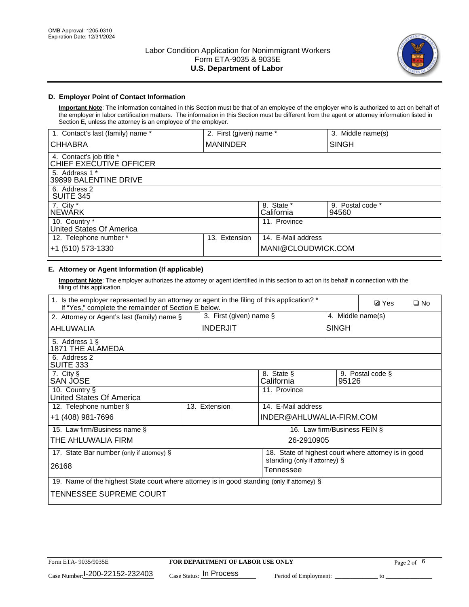

# **D. Employer Point of Contact Information**

**Important Note**: The information contained in this Section must be that of an employee of the employer who is authorized to act on behalf of the employer in labor certification matters. The information in this Section must be different from the agent or attorney information listed in Section E, unless the attorney is an employee of the employer.

| 1. Contact's last (family) name *                   | 2. First (given) name * |                          | 3. Middle name(s)         |
|-----------------------------------------------------|-------------------------|--------------------------|---------------------------|
| <b>CHHABRA</b>                                      | <b>MANINDER</b>         |                          | <b>SINGH</b>              |
| 4. Contact's job title *<br>CHIEF EXECUTIVE OFFICER |                         |                          |                           |
| 5. Address 1 *<br>39899 BALENTINE DRIVE             |                         |                          |                           |
| 6. Address 2<br><b>SUITE 345</b>                    |                         |                          |                           |
| 7. City *<br><b>NEWÁRK</b>                          |                         | 8. State *<br>California | 9. Postal code *<br>94560 |
| 10. Country *<br>United States Of America           |                         | 11. Province             |                           |
| 12. Telephone number *                              | Extension<br>13.        | 14. E-Mail address       |                           |
| +1 (510) 573-1330                                   |                         | MANI@CLOUDWICK.COM       |                           |

# **E. Attorney or Agent Information (If applicable)**

**Important Note**: The employer authorizes the attorney or agent identified in this section to act on its behalf in connection with the filing of this application.

| 1. Is the employer represented by an attorney or agent in the filing of this application? *<br>If "Yes," complete the remainder of Section E below. |  |                 |                                                      |                          | <b>Ø</b> Yes<br>$\square$ No |                  |  |
|-----------------------------------------------------------------------------------------------------------------------------------------------------|--|-----------------|------------------------------------------------------|--------------------------|------------------------------|------------------|--|
| 3. First (given) name $\S$<br>4. Middle name(s)<br>2. Attorney or Agent's last (family) name §                                                      |  |                 |                                                      |                          |                              |                  |  |
| AHLUWALIA                                                                                                                                           |  | <b>INDERJIT</b> | <b>SINGH</b>                                         |                          |                              |                  |  |
| 5. Address 1 §<br>1871 THE ALAMEDA                                                                                                                  |  |                 |                                                      |                          |                              |                  |  |
| 6. Address 2<br>SUITE 333                                                                                                                           |  |                 |                                                      |                          |                              |                  |  |
| 7. City §<br>SAN JOSE                                                                                                                               |  |                 | 8. State §<br>California                             |                          | 95126                        | 9. Postal code § |  |
| 10. Country §<br>United States Of America                                                                                                           |  |                 | 11. Province                                         |                          |                              |                  |  |
| 12. Telephone number §                                                                                                                              |  | 13. Extension   | 14. E-Mail address                                   |                          |                              |                  |  |
| +1 (408) 981-7696                                                                                                                                   |  |                 |                                                      | INDER@AHLUWALIA-FIRM.COM |                              |                  |  |
| 15. Law firm/Business name §                                                                                                                        |  |                 |                                                      |                          | 16. Law firm/Business FEIN § |                  |  |
| THE AHLUWALIA FIRM                                                                                                                                  |  |                 |                                                      | 26-2910905               |                              |                  |  |
| 17. State Bar number (only if attorney) §                                                                                                           |  |                 | 18. State of highest court where attorney is in good |                          |                              |                  |  |
| 26168                                                                                                                                               |  |                 | standing (only if attorney) §<br>Tennessee           |                          |                              |                  |  |
| 19. Name of the highest State court where attorney is in good standing (only if attorney) §                                                         |  |                 |                                                      |                          |                              |                  |  |
| TENNESSEE SUPREME COURT                                                                                                                             |  |                 |                                                      |                          |                              |                  |  |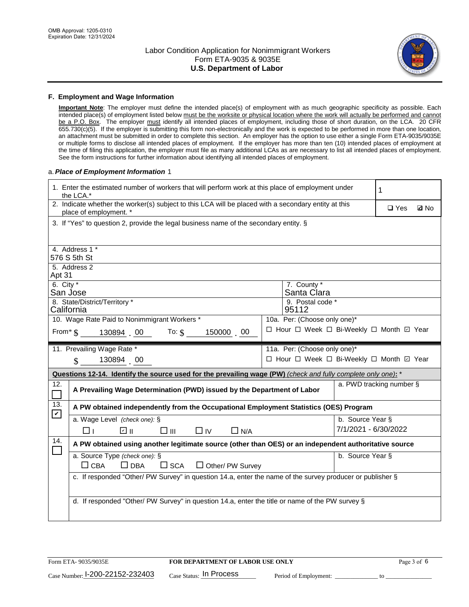

### **F. Employment and Wage Information**

**Important Note**: The employer must define the intended place(s) of employment with as much geographic specificity as possible. Each intended place(s) of employment listed below must be the worksite or physical location where the work will actually be performed and cannot be a P.O. Box. The employer must identify all intended places of employment, including those of short duration, on the LCA. 20 CFR 655.730(c)(5). If the employer is submitting this form non-electronically and the work is expected to be performed in more than one location, an attachment must be submitted in order to complete this section. An employer has the option to use either a single Form ETA-9035/9035E or multiple forms to disclose all intended places of employment. If the employer has more than ten (10) intended places of employment at the time of filing this application, the employer must file as many additional LCAs as are necessary to list all intended places of employment. See the form instructions for further information about identifying all intended places of employment.

### a.*Place of Employment Information* 1

|                                 | 1. Enter the estimated number of workers that will perform work at this place of employment under<br>the LCA.*                 | 1                                        |                              |  |  |  |  |
|---------------------------------|--------------------------------------------------------------------------------------------------------------------------------|------------------------------------------|------------------------------|--|--|--|--|
|                                 | 2. Indicate whether the worker(s) subject to this LCA will be placed with a secondary entity at this<br>place of employment. * |                                          | $\square$ Yes<br><b>Z</b> No |  |  |  |  |
|                                 | 3. If "Yes" to question 2, provide the legal business name of the secondary entity. §                                          |                                          |                              |  |  |  |  |
|                                 | 4. Address 1 *                                                                                                                 |                                          |                              |  |  |  |  |
|                                 | 576 S 5th St                                                                                                                   |                                          |                              |  |  |  |  |
|                                 | 5. Address 2                                                                                                                   |                                          |                              |  |  |  |  |
| Apt 31<br>6. City $*$           |                                                                                                                                | 7. County *                              |                              |  |  |  |  |
|                                 | San Jose                                                                                                                       | Santa Clara                              |                              |  |  |  |  |
|                                 | 8. State/District/Territory *                                                                                                  | 9. Postal code *<br>95112                |                              |  |  |  |  |
|                                 | California<br>10. Wage Rate Paid to Nonimmigrant Workers *<br>10a. Per: (Choose only one)*                                     |                                          |                              |  |  |  |  |
|                                 | From $\text{\$}$ 130894 00 To: $\text{\$}$<br>150000 00                                                                        | □ Hour □ Week □ Bi-Weekly □ Month □ Year |                              |  |  |  |  |
|                                 |                                                                                                                                |                                          |                              |  |  |  |  |
|                                 | 11. Prevailing Wage Rate *                                                                                                     | 11a. Per: (Choose only one)*             |                              |  |  |  |  |
|                                 | 130894 00<br>$\mathbb{S}$                                                                                                      | □ Hour □ Week □ Bi-Weekly □ Month 回 Year |                              |  |  |  |  |
|                                 | Questions 12-14. Identify the source used for the prevailing wage (PW) (check and fully complete only one): *                  |                                          |                              |  |  |  |  |
| 12.<br>$\overline{\phantom{0}}$ | A Prevailing Wage Determination (PWD) issued by the Department of Labor                                                        |                                          | a. PWD tracking number §     |  |  |  |  |
| 13.                             | A PW obtained independently from the Occupational Employment Statistics (OES) Program                                          |                                          |                              |  |  |  |  |
|                                 |                                                                                                                                |                                          |                              |  |  |  |  |
| $\blacktriangledown$            | a. Wage Level (check one): §                                                                                                   |                                          | b. Source Year §             |  |  |  |  |
|                                 | ☑ ॥<br>$\Box$ IV<br>□⊥<br>□⊪<br>$\Box$ N/A                                                                                     |                                          | 7/1/2021 - 6/30/2022         |  |  |  |  |
| 14.                             | A PW obtained using another legitimate source (other than OES) or an independent authoritative source                          |                                          |                              |  |  |  |  |
| $\Box$                          | a. Source Type (check one): §                                                                                                  |                                          | b. Source Year §             |  |  |  |  |
|                                 | $\Box$ CBA<br>$\Box$ DBA<br>$\square$ SCA<br>$\Box$ Other/ PW Survey                                                           |                                          |                              |  |  |  |  |
|                                 | c. If responded "Other/ PW Survey" in question 14.a, enter the name of the survey producer or publisher §                      |                                          |                              |  |  |  |  |
|                                 |                                                                                                                                |                                          |                              |  |  |  |  |
|                                 | d. If responded "Other/ PW Survey" in question 14.a, enter the title or name of the PW survey §                                |                                          |                              |  |  |  |  |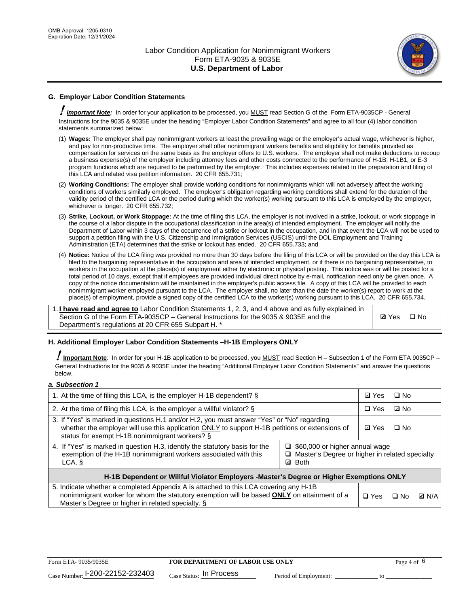

# **G. Employer Labor Condition Statements**

! *Important Note:* In order for your application to be processed, you MUST read Section G of the Form ETA-9035CP - General Instructions for the 9035 & 9035E under the heading "Employer Labor Condition Statements" and agree to all four (4) labor condition statements summarized below:

- (1) **Wages:** The employer shall pay nonimmigrant workers at least the prevailing wage or the employer's actual wage, whichever is higher, and pay for non-productive time. The employer shall offer nonimmigrant workers benefits and eligibility for benefits provided as compensation for services on the same basis as the employer offers to U.S. workers. The employer shall not make deductions to recoup a business expense(s) of the employer including attorney fees and other costs connected to the performance of H-1B, H-1B1, or E-3 program functions which are required to be performed by the employer. This includes expenses related to the preparation and filing of this LCA and related visa petition information. 20 CFR 655.731;
- (2) **Working Conditions:** The employer shall provide working conditions for nonimmigrants which will not adversely affect the working conditions of workers similarly employed. The employer's obligation regarding working conditions shall extend for the duration of the validity period of the certified LCA or the period during which the worker(s) working pursuant to this LCA is employed by the employer, whichever is longer. 20 CFR 655.732;
- (3) **Strike, Lockout, or Work Stoppage:** At the time of filing this LCA, the employer is not involved in a strike, lockout, or work stoppage in the course of a labor dispute in the occupational classification in the area(s) of intended employment. The employer will notify the Department of Labor within 3 days of the occurrence of a strike or lockout in the occupation, and in that event the LCA will not be used to support a petition filing with the U.S. Citizenship and Immigration Services (USCIS) until the DOL Employment and Training Administration (ETA) determines that the strike or lockout has ended. 20 CFR 655.733; and
- (4) **Notice:** Notice of the LCA filing was provided no more than 30 days before the filing of this LCA or will be provided on the day this LCA is filed to the bargaining representative in the occupation and area of intended employment, or if there is no bargaining representative, to workers in the occupation at the place(s) of employment either by electronic or physical posting. This notice was or will be posted for a total period of 10 days, except that if employees are provided individual direct notice by e-mail, notification need only be given once. A copy of the notice documentation will be maintained in the employer's public access file. A copy of this LCA will be provided to each nonimmigrant worker employed pursuant to the LCA. The employer shall, no later than the date the worker(s) report to work at the place(s) of employment, provide a signed copy of the certified LCA to the worker(s) working pursuant to this LCA. 20 CFR 655.734.

1. **I have read and agree to** Labor Condition Statements 1, 2, 3, and 4 above and as fully explained in Section G of the Form ETA-9035CP – General Instructions for the 9035 & 9035E and the Department's regulations at 20 CFR 655 Subpart H. \*

**Ø**Yes ロNo

## **H. Additional Employer Labor Condition Statements –H-1B Employers ONLY**

!**Important Note***:* In order for your H-1B application to be processed, you MUST read Section H – Subsection 1 of the Form ETA 9035CP – General Instructions for the 9035 & 9035E under the heading "Additional Employer Labor Condition Statements" and answer the questions below.

#### *a. Subsection 1*

| 1. At the time of filing this LCA, is the employer H-1B dependent? §                                                                                                                                                                                                      |  |  | $\square$ No |              |
|---------------------------------------------------------------------------------------------------------------------------------------------------------------------------------------------------------------------------------------------------------------------------|--|--|--------------|--------------|
| 2. At the time of filing this LCA, is the employer a willful violator? $\S$                                                                                                                                                                                               |  |  | ⊡ No         |              |
| 3. If "Yes" is marked in questions H.1 and/or H.2, you must answer "Yes" or "No" regarding<br>whether the employer will use this application ONLY to support H-1B petitions or extensions of<br>status for exempt H-1B nonimmigrant workers? §                            |  |  | $\Box$ No    |              |
| 4. If "Yes" is marked in question H.3, identify the statutory basis for the<br>$\Box$ \$60,000 or higher annual wage<br>exemption of the H-1B nonimmigrant workers associated with this<br>□ Master's Degree or higher in related specialty<br><b>Both</b><br>LCA. §<br>☑ |  |  |              |              |
| H-1B Dependent or Willful Violator Employers -Master's Degree or Higher Exemptions ONLY                                                                                                                                                                                   |  |  |              |              |
| 5. Indicate whether a completed Appendix A is attached to this LCA covering any H-1B<br>nonimmigrant worker for whom the statutory exemption will be based <b>ONLY</b> on attainment of a<br>Master's Degree or higher in related specialty. §                            |  |  | ⊟ No         | <b>Q</b> N/A |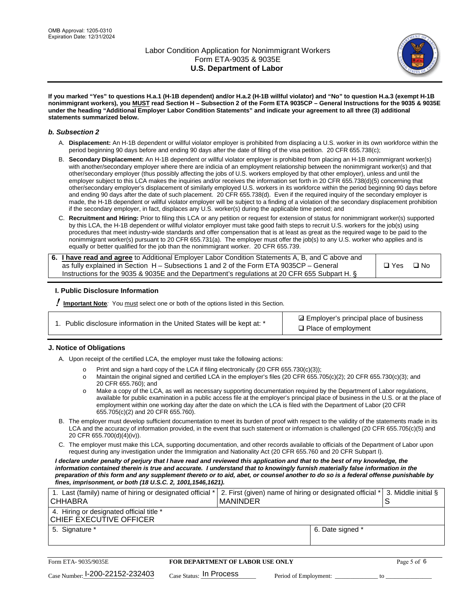

**If you marked "Yes" to questions H.a.1 (H-1B dependent) and/or H.a.2 (H-1B willful violator) and "No" to question H.a.3 (exempt H-1B nonimmigrant workers), you MUST read Section H – Subsection 2 of the Form ETA 9035CP – General Instructions for the 9035 & 9035E under the heading "Additional Employer Labor Condition Statements" and indicate your agreement to all three (3) additional statements summarized below.**

#### *b. Subsection 2*

- A. **Displacement:** An H-1B dependent or willful violator employer is prohibited from displacing a U.S. worker in its own workforce within the period beginning 90 days before and ending 90 days after the date of filing of the visa petition. 20 CFR 655.738(c);
- B. **Secondary Displacement:** An H-1B dependent or willful violator employer is prohibited from placing an H-1B nonimmigrant worker(s) with another/secondary employer where there are indicia of an employment relationship between the nonimmigrant worker(s) and that other/secondary employer (thus possibly affecting the jobs of U.S. workers employed by that other employer), unless and until the employer subject to this LCA makes the inquiries and/or receives the information set forth in 20 CFR 655.738(d)(5) concerning that other/secondary employer's displacement of similarly employed U.S. workers in its workforce within the period beginning 90 days before and ending 90 days after the date of such placement. 20 CFR 655.738(d). Even if the required inquiry of the secondary employer is made, the H-1B dependent or willful violator employer will be subject to a finding of a violation of the secondary displacement prohibition if the secondary employer, in fact, displaces any U.S. worker(s) during the applicable time period; and
- C. **Recruitment and Hiring:** Prior to filing this LCA or any petition or request for extension of status for nonimmigrant worker(s) supported by this LCA, the H-1B dependent or willful violator employer must take good faith steps to recruit U.S. workers for the job(s) using procedures that meet industry-wide standards and offer compensation that is at least as great as the required wage to be paid to the nonimmigrant worker(s) pursuant to 20 CFR 655.731(a). The employer must offer the job(s) to any U.S. worker who applies and is equally or better qualified for the job than the nonimmigrant worker. 20 CFR 655.739.

| 6. I have read and agree to Additional Employer Labor Condition Statements A, B, and C above and |       |           |
|--------------------------------------------------------------------------------------------------|-------|-----------|
| as fully explained in Section H – Subsections 1 and 2 of the Form ETA 9035CP – General           | □ Yes | $\Box$ No |
| Instructions for the 9035 & 9035E and the Department's regulations at 20 CFR 655 Subpart H. §    |       |           |

## **I. Public Disclosure Information**

! **Important Note***:* You must select one or both of the options listed in this Section.

| 1. Public disclosure information in the United States will be kept at: * |  |  |  |  |  |  |
|--------------------------------------------------------------------------|--|--|--|--|--|--|
|--------------------------------------------------------------------------|--|--|--|--|--|--|

**sqrt** Employer's principal place of business □ Place of employment

## **J. Notice of Obligations**

A. Upon receipt of the certified LCA, the employer must take the following actions:

- o Print and sign a hard copy of the LCA if filing electronically (20 CFR 655.730(c)(3));<br>
Maintain the original signed and certified LCA in the employer's files (20 CFR 655.7
- Maintain the original signed and certified LCA in the employer's files (20 CFR 655.705(c)(2); 20 CFR 655.730(c)(3); and 20 CFR 655.760); and
- o Make a copy of the LCA, as well as necessary supporting documentation required by the Department of Labor regulations, available for public examination in a public access file at the employer's principal place of business in the U.S. or at the place of employment within one working day after the date on which the LCA is filed with the Department of Labor (20 CFR 655.705(c)(2) and 20 CFR 655.760).
- B. The employer must develop sufficient documentation to meet its burden of proof with respect to the validity of the statements made in its LCA and the accuracy of information provided, in the event that such statement or information is challenged (20 CFR 655.705(c)(5) and 20 CFR 655.700(d)(4)(iv)).
- C. The employer must make this LCA, supporting documentation, and other records available to officials of the Department of Labor upon request during any investigation under the Immigration and Nationality Act (20 CFR 655.760 and 20 CFR Subpart I).

*I declare under penalty of perjury that I have read and reviewed this application and that to the best of my knowledge, the*  information contained therein is true and accurate. I understand that to knowingly furnish materially false information in the *preparation of this form and any supplement thereto or to aid, abet, or counsel another to do so is a federal offense punishable by fines, imprisonment, or both (18 U.S.C. 2, 1001,1546,1621).*

| 1. Last (family) name of hiring or designated official *  2. First (given) name of hiring or designated official *  3. Middle initial §<br>I CHHABRA | I MANINDER       |  |
|------------------------------------------------------------------------------------------------------------------------------------------------------|------------------|--|
| 4. Hiring or designated official title *<br>CHIEF EXECUTIVE OFFICER                                                                                  |                  |  |
| 5. Signature *                                                                                                                                       | 6. Date signed * |  |